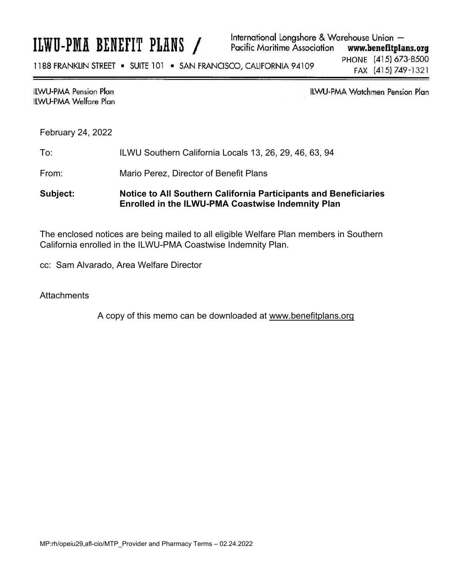# ILWU-PMA BENEFIT PLANS /

International Longshore & Warehouse Union -**Pacific Maritime Association** www.benefitplans.org

1188 FRANKLIN STREET . SUITE 101 . SAN FRANCISCO, CALIFORNIA 94109

PHONE (415) 673-8500 FAX (415) 749-1321

# **ILWU-PMA Pension Plan ILWU-PMA Welfare Plan**

**ILWU-PMA Watchmen Pension Plan** 

February 24, 2022

## To: ILWU Southern California Locals 13, 26, 29, 46, 63, 94

From: Mario Perez, Director of Benefit Plans

# **Subject: Notice to All Southern California Participants and Beneficiaries Enrolled in the ILWU-PMA Coastwise Indemnity Plan**

The enclosed notices are being mailed to all eligible Welfare Plan members in Southern California enrolled in the ILWU-PMA Coastwise Indemnity Plan.

cc: Sam Alvarado, Area Welfare Director

**Attachments** 

A copy of this memo can be downloaded at www.benefitplans.org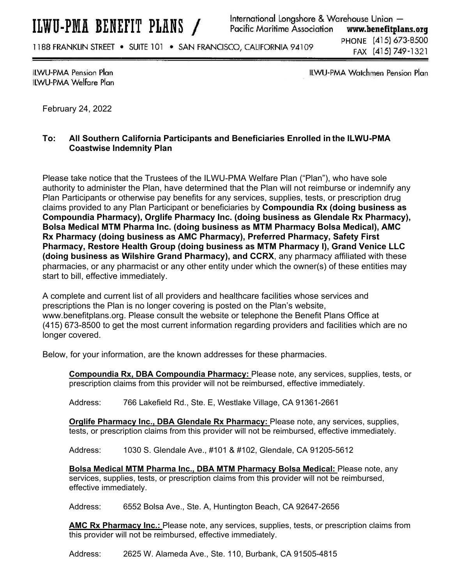1188 FRANKLIN STREET . SUITE 101 . SAN FRANCISCO, CALIFORNIA 94109

PHONE (415) 673-8500 FAX (415) 749-1321

**ILWU-PMA Pension Plan ILWU-PMA Welfare Plan**  ILWU-PMA Watchmen Pension Plan

February 24, 2022

# **To: All Southern California Participants and Beneficiaries Enrolled in the ILWU-PMA Coastwise Indemnity Plan**

Please take notice that the Trustees of the ILWU-PMA Welfare Plan ("Plan"), who have sole authority to administer the Plan, have determined that the Plan will not reimburse or indemnify any Plan Participants or otherwise pay benefits for any services, supplies, tests, or prescription drug claims provided to any Plan Participant or beneficiaries by **Compoundia Rx (doing business as Compoundia Pharmacy), Orglife Pharmacy Inc. (doing business as Glendale Rx Pharmacy), Bolsa Medical MTM Pharma Inc. (doing business as MTM Pharmacy Bolsa Medical), AMC Rx Pharmacy (doing business as AMC Pharmacy), Preferred Pharmacy, Safety First Pharmacy, Restore Health Group (doing business as MTM Pharmacy I), Grand Venice LLC (doing business as Wilshire Grand Pharmacy), and CCRX**, any pharmacy affiliated with these pharmacies, or any pharmacist or any other entity under which the owner(s) of these entities may start to bill, effective immediately.

A complete and current list of all providers and healthcare facilities whose services and prescriptions the Plan is no longer covering is posted on the Plan's website, www.benefitplans.org. Please consult the website or telephone the Benefit Plans Office at (415) 673-8500 to get the most current information regarding providers and facilities which are no longer covered.

Below, for your information, are the known addresses for these pharmacies.

**Compoundia Rx, DBA Compoundia Pharmacy:** Please note, any services, supplies, tests, or prescription claims from this provider will not be reimbursed, effective immediately.

Address: 766 Lakefield Rd., Ste. E, Westlake Village, CA 91361-2661

**Orglife Pharmacy Inc., DBA Glendale Rx Pharmacy:** Please note, any services, supplies, tests, or prescription claims from this provider will not be reimbursed, effective immediately.

Address: 1030 S. Glendale Ave., #101 & #102, Glendale, CA 91205-5612

**Bolsa Medical MTM Pharma Inc., DBA MTM Pharmacy Bolsa Medical:** Please note, any services, supplies, tests, or prescription claims from this provider will not be reimbursed, effective immediately.

Address: 6552 Bolsa Ave., Ste. A, Huntington Beach, CA 92647-2656

**AMC Rx Pharmacy Inc.:** Please note, any services, supplies, tests, or prescription claims from this provider will not be reimbursed, effective immediately.

Address: 2625 W. Alameda Ave., Ste. 110, Burbank, CA 91505-4815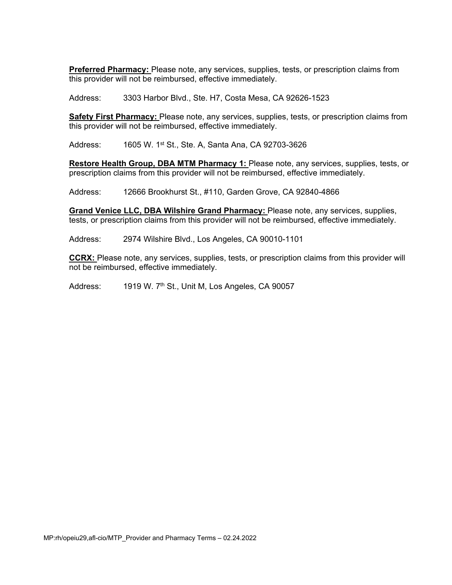**Preferred Pharmacy:** Please note, any services, supplies, tests, or prescription claims from this provider will not be reimbursed, effective immediately.

Address: 3303 Harbor Blvd., Ste. H7, Costa Mesa, CA 92626-1523

**Safety First Pharmacy:** Please note, any services, supplies, tests, or prescription claims from this provider will not be reimbursed, effective immediately.

Address: 1605 W. 1st St., Ste. A, Santa Ana, CA 92703-3626

**Restore Health Group, DBA MTM Pharmacy 1:** Please note, any services, supplies, tests, or prescription claims from this provider will not be reimbursed, effective immediately.

Address: 12666 Brookhurst St., #110, Garden Grove, CA 92840-4866

**Grand Venice LLC, DBA Wilshire Grand Pharmacy:** Please note, any services, supplies, tests, or prescription claims from this provider will not be reimbursed, effective immediately.

Address: 2974 Wilshire Blvd., Los Angeles, CA 90010-1101

**CCRX:** Please note, any services, supplies, tests, or prescription claims from this provider will not be reimbursed, effective immediately.

Address: 1919 W. 7<sup>th</sup> St., Unit M, Los Angeles, CA 90057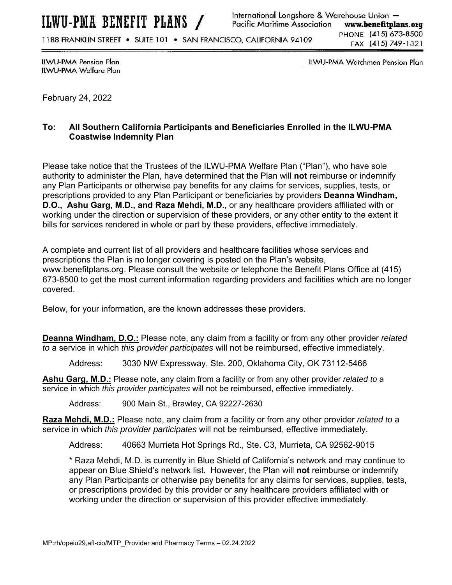1188 FRANKLIN STREET . SUITE 101 . SAN FRANCISCO, CALIFORNIA 94109

ILWU-PMA Pension Plan ILWU-PMA Welfare Plan ILWU-PMA Watchmen Pension Plan

February 24, 2022

# **To: All Southern California Participants and Beneficiaries Enrolled in the ILWU-PMA Coastwise Indemnity Plan**

Please take notice that the Trustees of the ILWU-PMA Welfare Plan ("Plan"), who have sole authority to administer the Plan, have determined that the Plan will **not** reimburse or indemnify any Plan Participants or otherwise pay benefits for any claims for services, supplies, tests, or prescriptions provided to any Plan Participant or beneficiaries by providers **Deanna Windham, D.O., Ashu Garg, M.D., and Raza Mehdi, M.D.,** or any healthcare providers affiliated with or working under the direction or supervision of these providers, or any other entity to the extent it bills for services rendered in whole or part by these providers, effective immediately.

A complete and current list of all providers and healthcare facilities whose services and prescriptions the Plan is no longer covering is posted on the Plan's website, www.benefitplans.org. Please consult the website or telephone the Benefit Plans Office at (415) 673-8500 to get the most current information regarding providers and facilities which are no longer covered.

Below, for your information, are the known addresses these providers.

**Deanna Windham, D.O.:** Please note, any claim from a facility or from any other provider *related to* a service in which *this provider participates* will not be reimbursed, effective immediately.

Address: 3030 NW Expressway, Ste. 200, Oklahoma City, OK 73112-5466

**Ashu Garg, M.D.:** Please note, any claim from a facility or from any other provider *related to* a service in which *this provider participates* will not be reimbursed, effective immediately.

Address: 900 Main St., Brawley, CA 92227-2630

**Raza Mehdi, M.D.:** Please note, any claim from a facility or from any other provider *related to* a service in which *this provider participates* will not be reimbursed, effective immediately.

Address: 40663 Murrieta Hot Springs Rd., Ste. C3, Murrieta, CA 92562-9015

\* Raza Mehdi, M.D. is currently in Blue Shield of California's network and may continue to appear on Blue Shield's network list. However, the Plan will **not** reimburse or indemnify any Plan Participants or otherwise pay benefits for any claims for services, supplies, tests, or prescriptions provided by this provider or any healthcare providers affiliated with or working under the direction or supervision of this provider effective immediately.